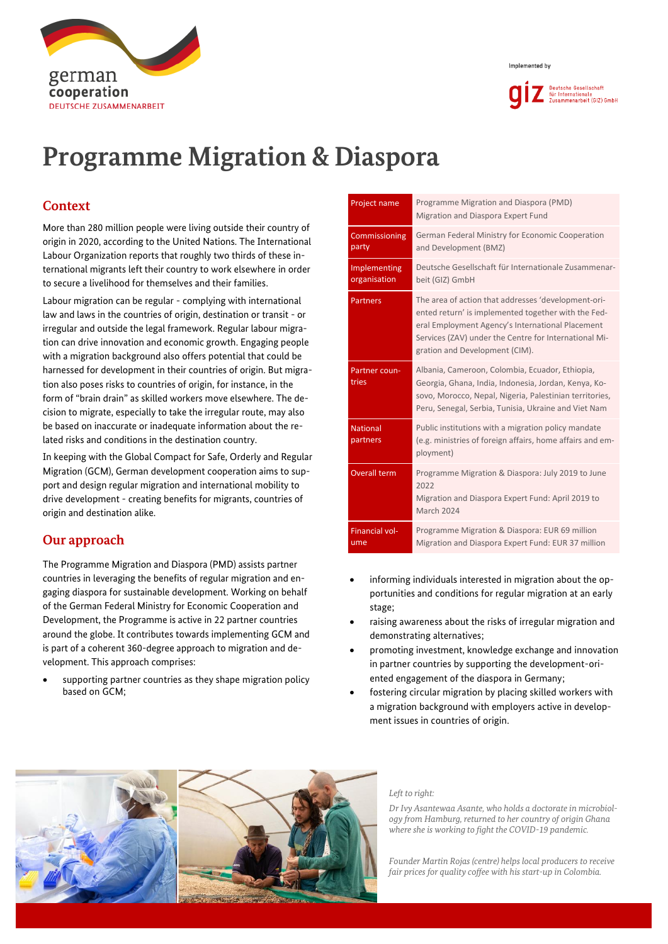



# **Programme Migration & Diaspora**

# **Context**

More than 280 million people were living outside their country of origin in 2020, according to the United Nations. The International Labour Organization reports that roughly two thirds of these international migrants left their country to work elsewhere in order to secure a livelihood for themselves and their families.

Labour migration can be regular - complying with international law and laws in the countries of origin, destination or transit - or irregular and outside the legal framework. Regular labour migration can drive innovation and economic growth. Engaging people with a migration background also offers potential that could be harnessed for development in their countries of origin. But migration also poses risks to countries of origin, for instance, in the form of "brain drain" as skilled workers move elsewhere. The decision to migrate, especially to take the irregular route, may also be based on inaccurate or inadequate information about the related risks and conditions in the destination country.

In keeping with the Global Compact for Safe, Orderly and Regular Migration (GCM), German development cooperation aims to support and design regular migration and international mobility to drive development - creating benefits for migrants, countries of origin and destination alike.

# **Our approach**

The Programme Migration and Diaspora (PMD) assists partner countries in leveraging the benefits of regular migration and engaging diaspora for sustainable development. Working on behalf of the German Federal Ministry for Economic Cooperation and Development, the Programme is active in 22 partner countries around the globe. It contributes towards implementing GCM and is part of a coherent 360-degree approach to migration and development. This approach comprises:

supporting partner countries as they shape migration policy based on GCM;

| Project name                 | Programme Migration and Diaspora (PMD)<br>Migration and Diaspora Expert Fund                                                                                                                                                                              |  |  |
|------------------------------|-----------------------------------------------------------------------------------------------------------------------------------------------------------------------------------------------------------------------------------------------------------|--|--|
| Commissioning<br>party       | German Federal Ministry for Economic Cooperation<br>and Development (BMZ)                                                                                                                                                                                 |  |  |
| Implementing<br>organisation | Deutsche Gesellschaft für Internationale Zusammenar-<br>beit (GIZ) GmbH                                                                                                                                                                                   |  |  |
| <b>Partners</b>              | The area of action that addresses 'development-ori-<br>ented return' is implemented together with the Fed-<br>eral Employment Agency's International Placement<br>Services (ZAV) under the Centre for International Mi-<br>gration and Development (CIM). |  |  |
| Partner coun-<br>tries       | Albania, Cameroon, Colombia, Ecuador, Ethiopia,<br>Georgia, Ghana, India, Indonesia, Jordan, Kenya, Ko-<br>sovo, Morocco, Nepal, Nigeria, Palestinian territories,<br>Peru, Senegal, Serbia, Tunisia, Ukraine and Viet Nam                                |  |  |
| <b>National</b><br>partners  | Public institutions with a migration policy mandate<br>(e.g. ministries of foreign affairs, home affairs and em-<br>ployment)                                                                                                                             |  |  |
| <b>Overall term</b>          | Programme Migration & Diaspora: July 2019 to June<br>2022<br>Migration and Diaspora Expert Fund: April 2019 to<br><b>March 2024</b>                                                                                                                       |  |  |
| <b>Financial vol-</b><br>ume | Programme Migration & Diaspora: EUR 69 million<br>Migration and Diaspora Expert Fund: EUR 37 million                                                                                                                                                      |  |  |

- informing individuals interested in migration about the opportunities and conditions for regular migration at an early stage;
- raising awareness about the risks of irregular migration and demonstrating alternatives;
- promoting investment, knowledge exchange and innovation in partner countries by supporting the development-oriented engagement of the diaspora in Germany;
- fostering circular migration by placing skilled workers with a migration background with employers active in development issues in countries of origin.





#### *Left to right:*

*Dr Ivy Asantewaa Asante, who holds a doctorate in microbiology from Hamburg, returned to her country of origin Ghana where she is working to fight the COVID-19 pandemic.* 

*Founder Martin Rojas (centre) helps local producers to receive fair prices for quality coffee with his start-up in Colombia.*